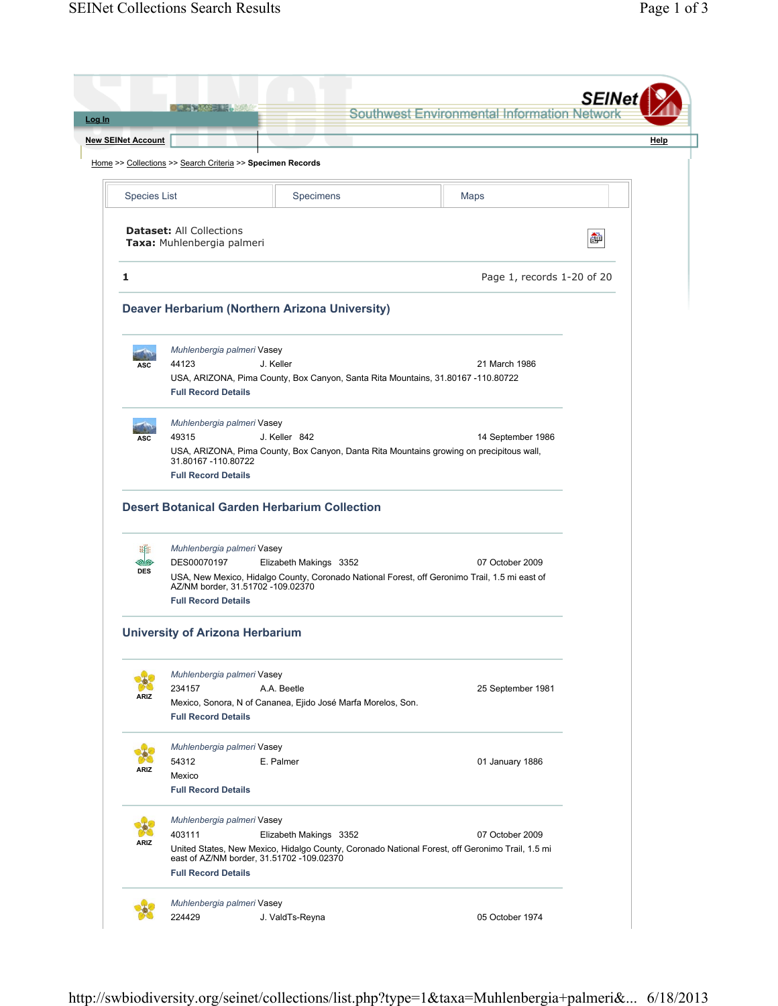|                           | $-5.485 - 15.762$                                             |                                                                                                                                                                        | Southwest Environmental Information Networl |      |
|---------------------------|---------------------------------------------------------------|------------------------------------------------------------------------------------------------------------------------------------------------------------------------|---------------------------------------------|------|
| <b>New SEINet Account</b> |                                                               |                                                                                                                                                                        |                                             | Help |
|                           | Home >> Collections >> Search Criteria >> Specimen Records    |                                                                                                                                                                        |                                             |      |
| <b>Species List</b>       |                                                               | Specimens                                                                                                                                                              | Maps                                        |      |
|                           | <b>Dataset: All Collections</b><br>Taxa: Muhlenbergia palmeri |                                                                                                                                                                        |                                             | ò    |
| 1                         |                                                               |                                                                                                                                                                        | Page 1, records 1-20 of 20                  |      |
|                           |                                                               | Deaver Herbarium (Northern Arizona University)                                                                                                                         |                                             |      |
|                           | Muhlenbergia palmeri Vasey                                    |                                                                                                                                                                        |                                             |      |
| ASC                       | 44123<br><b>Full Record Details</b>                           | J. Keller<br>USA, ARIZONA, Pima County, Box Canyon, Santa Rita Mountains, 31.80167 -110.80722                                                                          | 21 March 1986                               |      |
| ASC                       | Muhlenbergia palmeri Vasey<br>49315                           | J. Keller 842                                                                                                                                                          | 14 September 1986                           |      |
|                           | 31.80167 - 110.80722<br><b>Full Record Details</b>            | USA, ARIZONA, Pima County, Box Canyon, Danta Rita Mountains growing on precipitous wall,                                                                               |                                             |      |
|                           |                                                               | <b>Desert Botanical Garden Herbarium Collection</b>                                                                                                                    |                                             |      |
| se                        | Muhlenbergia palmeri Vasey                                    |                                                                                                                                                                        |                                             |      |
| ℠<br><b>DES</b>           | DES00070197<br>AZ/NM border, 31.51702 -109.02370              | Elizabeth Makings 3352<br>USA, New Mexico, Hidalgo County, Coronado National Forest, off Geronimo Trail, 1.5 mi east of                                                | 07 October 2009                             |      |
|                           | <b>Full Record Details</b>                                    |                                                                                                                                                                        |                                             |      |
|                           | <b>University of Arizona Herbarium</b>                        |                                                                                                                                                                        |                                             |      |
|                           | Muhlenbergia palmeri Vasey                                    |                                                                                                                                                                        |                                             |      |
| <b>ARIZ</b>               | 234157<br><b>Full Record Details</b>                          | A.A. Beetle<br>Mexico, Sonora, N of Cananea, Ejido José Marfa Morelos, Son.                                                                                            | 25 September 1981                           |      |
|                           |                                                               |                                                                                                                                                                        |                                             |      |
|                           | Muhlenbergia palmeri Vasey                                    |                                                                                                                                                                        |                                             |      |
| <b>ARIZ</b>               | 54312<br>Mexico<br><b>Full Record Details</b>                 | E. Palmer                                                                                                                                                              | 01 January 1886                             |      |
|                           | Muhlenbergia palmeri Vasey                                    |                                                                                                                                                                        |                                             |      |
| <b>ARIZ</b>               | 403111<br><b>Full Record Details</b>                          | Elizabeth Makings 3352<br>United States, New Mexico, Hidalgo County, Coronado National Forest, off Geronimo Trail, 1.5 mi<br>east of AZ/NM border, 31.51702 -109.02370 | 07 October 2009                             |      |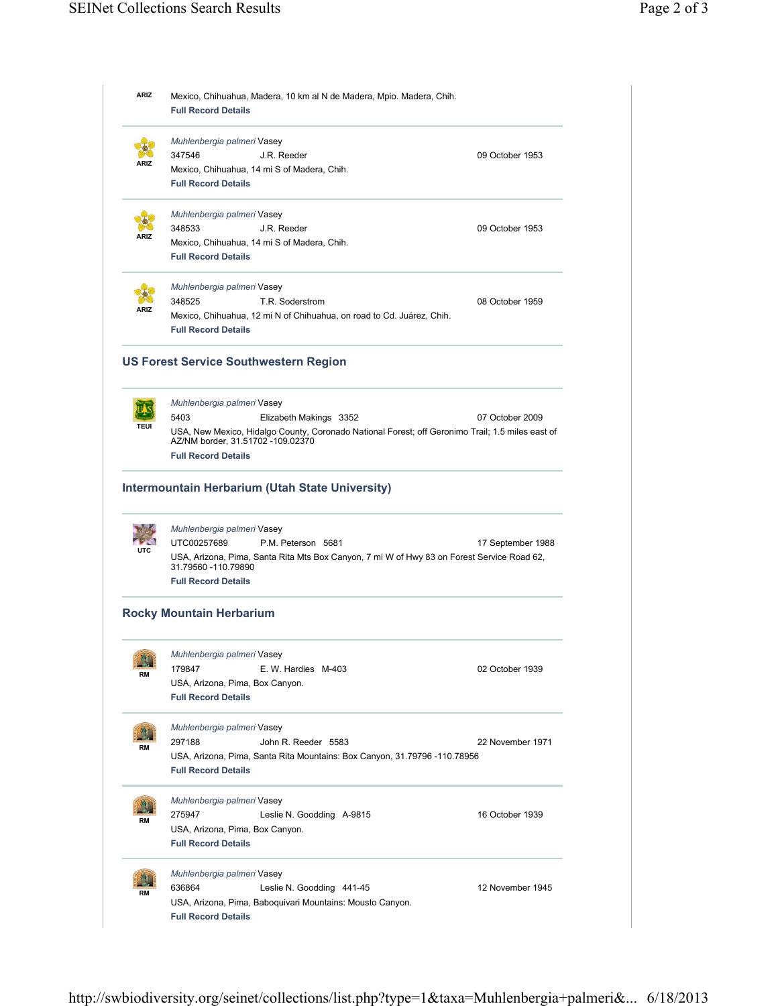| ARIZ | Mexico, Chihuahua, Madera, 10 km al N de Madera, Mpio. Madera, Chih.<br><b>Full Record Details</b>                                              |                   |
|------|-------------------------------------------------------------------------------------------------------------------------------------------------|-------------------|
|      | Muhlenbergia palmeri Vasey                                                                                                                      |                   |
|      | 347546<br>J.R. Reeder                                                                                                                           | 09 October 1953   |
|      | Mexico, Chihuahua, 14 mi S of Madera, Chih.<br><b>Full Record Details</b>                                                                       |                   |
|      | Muhlenbergia palmeri Vasey                                                                                                                      |                   |
| ARIZ | 348533<br>J.R. Reeder                                                                                                                           | 09 October 1953   |
|      | Mexico, Chihuahua, 14 mi S of Madera, Chih.<br><b>Full Record Details</b>                                                                       |                   |
|      | Muhlenbergia palmeri Vasey                                                                                                                      |                   |
| ARIZ | 348525<br>T.R. Soderstrom<br>Mexico, Chihuahua, 12 mi N of Chihuahua, on road to Cd. Juárez, Chih.<br><b>Full Record Details</b>                | 08 October 1959   |
|      | <b>US Forest Service Southwestern Region</b>                                                                                                    |                   |
|      | Muhlenbergia palmeri Vasey                                                                                                                      |                   |
|      | 5403<br>Elizabeth Makings 3352                                                                                                                  | 07 October 2009   |
| TEUI | USA, New Mexico, Hidalgo County, Coronado National Forest; off Geronimo Trail; 1.5 miles east of                                                |                   |
|      | AZ/NM border, 31.51702 -109.02370<br><b>Full Record Details</b>                                                                                 |                   |
|      | <b>Intermountain Herbarium (Utah State University)</b>                                                                                          |                   |
|      | Muhlenbergia palmeri Vasey<br>UTC00257689<br>P.M. Peterson 5681                                                                                 |                   |
| UTC  | USA, Arizona, Pima, Santa Rita Mts Box Canyon, 7 mi W of Hwy 83 on Forest Service Road 62,<br>31.79560 -110.79890<br><b>Full Record Details</b> | 17 September 1988 |
|      | <b>Rocky Mountain Herbarium</b>                                                                                                                 |                   |
|      | Muhlenbergia palmeri Vasey                                                                                                                      |                   |
|      | E. W. Hardies M-403<br>179847                                                                                                                   | 02 October 1939   |
|      | USA, Arizona, Pima, Box Canyon.                                                                                                                 |                   |
|      | <b>Full Record Details</b>                                                                                                                      |                   |
|      | Muhlenbergia palmeri Vasey                                                                                                                      |                   |
| RM   | 297188<br>John R. Reeder 5583                                                                                                                   | 22 November 1971  |
|      | USA, Arizona, Pima, Santa Rita Mountains: Box Canyon, 31.79796 -110.78956<br><b>Full Record Details</b>                                         |                   |
|      | Muhlenbergia palmeri Vasey                                                                                                                      |                   |
| RM   | 275947<br>Leslie N. Goodding A-9815                                                                                                             | 16 October 1939   |
|      | USA, Arizona, Pima, Box Canyon.<br><b>Full Record Details</b>                                                                                   |                   |
|      | Muhlenbergia palmeri Vasey                                                                                                                      |                   |
|      | 636864<br>Leslie N. Goodding 441-45                                                                                                             | 12 November 1945  |
|      | USA, Arizona, Pima, Baboquivari Mountains: Mousto Canyon.<br><b>Full Record Details</b>                                                         |                   |